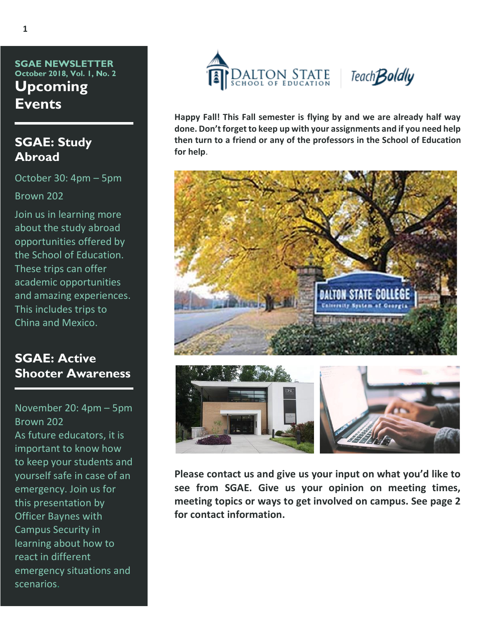**SGAE NEWSLETTER October 2018, Vol. 1, No. 2 Upcoming Events**

#### **SGAE: Study Abroad**

October 30: 4pm – 5pm Brown 202

Join us in learning more about the study abroad opportunities offered by the School of Education. These trips can offer academic opportunities and amazing experiences. This includes trips to China and Mexico.

## **SGAE: Active Shooter Awareness**

November 20: 4pm – 5pm Brown 202 As future educators, it is important to know how to keep your students and yourself safe in case of an emergency. Join us for this presentation by Officer Baynes with Campus Security in learning about how to react in different emergency situations and scenarios.



**Happy Fall! This Fall semester is flying by and we are already half way done. Don't forget to keep up with your assignments and if you need help then turn to a friend or any of the professors in the School of Education for help**.



**Please contact us and give us your input on what you'd like to see from SGAE. Give us your opinion on meeting times, meeting topics or ways to get involved on campus. See page 2 for contact information.**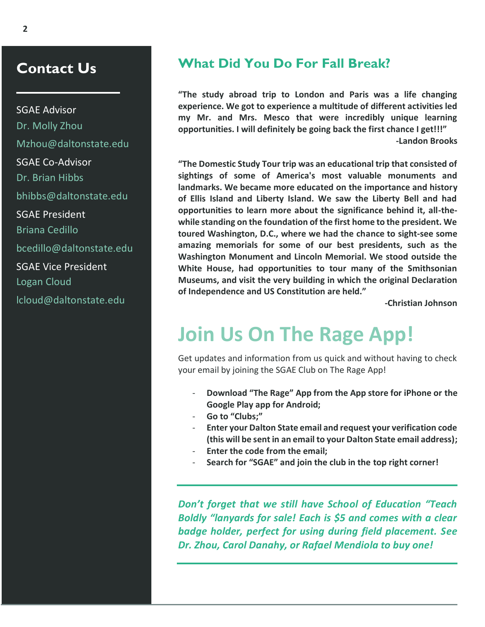# **Contact Us**

SGAE Advisor Dr. Molly Zhou Mzhou@daltonstate.edu SGAE Co-Advisor Dr. Brian Hibbs bhibbs@daltonstate.edu SGAE President Briana Cedillo bcedillo@daltonstate.edu SGAE Vice President Logan Cloud lcloud@daltonstate.edu

### **What Did You Do For Fall Break?**

**"The study abroad trip to London and Paris was a life changing experience. We got to experience a multitude of different activities led my Mr. and Mrs. Mesco that were incredibly unique learning opportunities. I will definitely be going back the first chance I get!!!" -Landon Brooks**

**"The Domestic Study Tour trip was an educational trip that consisted of sightings of some of America's most valuable monuments and landmarks. We became more educated on the importance and history of Ellis Island and Liberty Island. We saw the Liberty Bell and had opportunities to learn more about the significance behind it, all-thewhile standing on the foundation of the first home to the president. We toured Washington, D.C., where we had the chance to sight-see some amazing memorials for some of our best presidents, such as the Washington Monument and Lincoln Memorial. We stood outside the White House, had opportunities to tour many of the Smithsonian Museums, and visit the very building in which the original Declaration of Independence and US Constitution are held."** 

**-Christian Johnson**

# **Join Us On The Rage App!**

Get updates and information from us quick and without having to check your email by joining the SGAE Club on The Rage App!

- **Download "The Rage" App from the App store for iPhone or the Google Play app for Android;**
- **Go to "Clubs;"**
- **Enter your Dalton State email and request your verification code (this will be sent in an email to your Dalton State email address);**
- **Enter the code from the email;**
- **Search for "SGAE" and join the club in the top right corner!**

*Don't forget that we still have School of Education "Teach Boldly "lanyards for sale! Each is \$5 and comes with a clear badge holder, perfect for using during field placement. See Dr. Zhou, Carol Danahy, or Rafael Mendiola to buy one!*